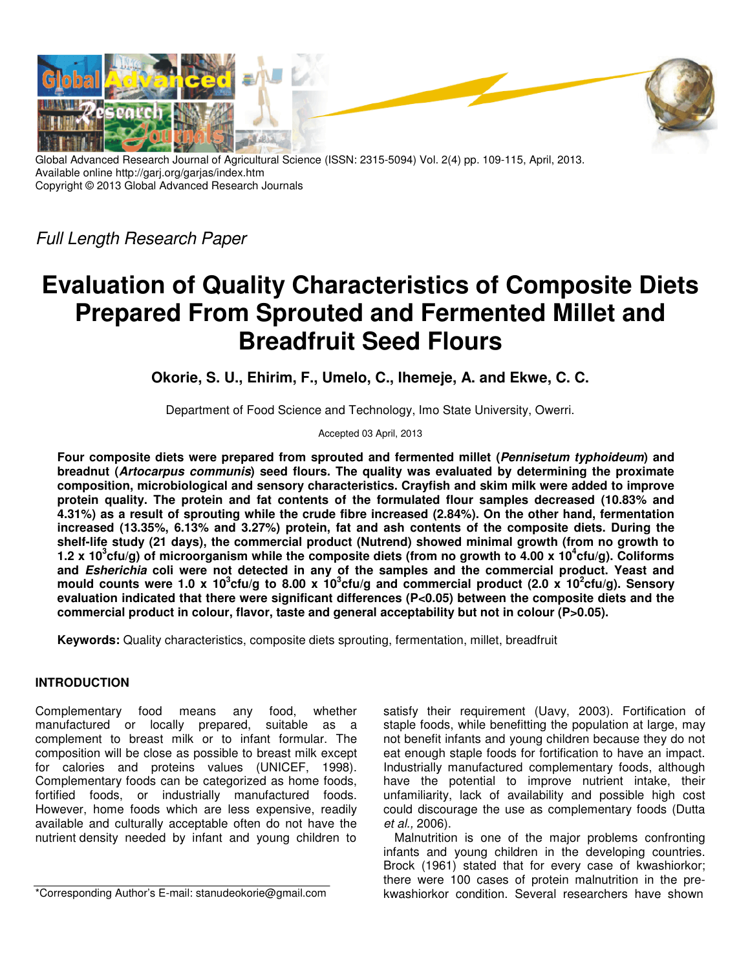

Global Advanced Research Journal of Agricultural Science (ISSN: 2315-5094) Vol. 2(4) pp. 109-115, April, 2013. Available online http://garj.org/garjas/index.htm Copyright © 2013 Global Advanced Research Journals

Full Length Research Paper

# **Evaluation of Quality Characteristics of Composite Diets Prepared From Sprouted and Fermented Millet and Breadfruit Seed Flours**

**Okorie, S. U., Ehirim, F., Umelo, C., Ihemeje, A. and Ekwe, C. C.** 

Department of Food Science and Technology, Imo State University, Owerri.

Accepted 03 April, 2013

**Four composite diets were prepared from sprouted and fermented millet (Pennisetum typhoideum) and breadnut (Artocarpus communis) seed flours. The quality was evaluated by determining the proximate composition, microbiological and sensory characteristics. Crayfish and skim milk were added to improve protein quality. The protein and fat contents of the formulated flour samples decreased (10.83% and 4.31%) as a result of sprouting while the crude fibre increased (2.84%). On the other hand, fermentation increased (13.35%, 6.13% and 3.27%) protein, fat and ash contents of the composite diets. During the shelf-life study (21 days), the commercial product (Nutrend) showed minimal growth (from no growth to 1.2 x 10<sup>3</sup> cfu/g) of microorganism while the composite diets (from no growth to 4.00 x 10<sup>4</sup> cfu/g). Coliforms and Esherichia coli were not detected in any of the samples and the commercial product. Yeast and**  mould counts were 1.0 x 10<sup>3</sup>cfu/g to 8.00 x 10<sup>3</sup>cfu/g and commercial product (2.0 x 10<sup>2</sup>cfu/g). Sensory **evaluation indicated that there were significant differences (P<0.05) between the composite diets and the**  commercial product in colour, flavor, taste and general acceptability but not in colour (P>0.05).

**Keywords:** Quality characteristics, composite diets sprouting, fermentation, millet, breadfruit

## **INTRODUCTION**

Complementary food means any food, whether<br>manufactured or locally prepared, suitable as a manufactured or locally prepared, suitable as a complement to breast milk or to infant formular. The composition will be close as possible to breast milk except for calories and proteins values (UNICEF, 1998). Complementary foods can be categorized as home foods, fortified foods, or industrially manufactured foods. However, home foods which are less expensive, readily available and culturally acceptable often do not have the nutrient density needed by infant and young children to

\*Corresponding Author's E-mail: stanudeokorie@gmail.com

satisfy their requirement (Uavy, 2003). Fortification of staple foods, while benefitting the population at large, may not benefit infants and young children because they do not eat enough staple foods for fortification to have an impact. Industrially manufactured complementary foods, although have the potential to improve nutrient intake, their unfamiliarity, lack of availability and possible high cost could discourage the use as complementary foods (Dutta et al., 2006).

Malnutrition is one of the major problems confronting infants and young children in the developing countries. Brock (1961) stated that for every case of kwashiorkor; there were 100 cases of protein malnutrition in the prekwashiorkor condition. Several researchers have shown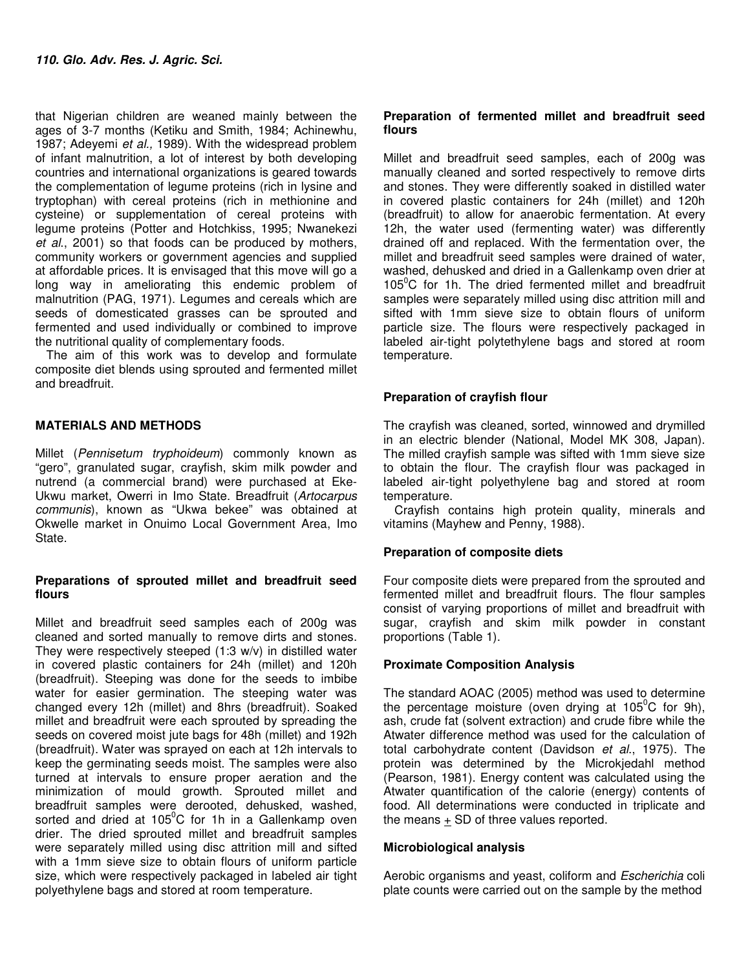that Nigerian children are weaned mainly between the ages of 3-7 months (Ketiku and Smith, 1984; Achinewhu, 1987; Adeyemi et al., 1989). With the widespread problem of infant malnutrition, a lot of interest by both developing countries and international organizations is geared towards the complementation of legume proteins (rich in lysine and tryptophan) with cereal proteins (rich in methionine and cysteine) or supplementation of cereal proteins with legume proteins (Potter and Hotchkiss, 1995; Nwanekezi et al., 2001) so that foods can be produced by mothers, community workers or government agencies and supplied at affordable prices. It is envisaged that this move will go a long way in ameliorating this endemic problem of malnutrition (PAG, 1971). Legumes and cereals which are seeds of domesticated grasses can be sprouted and fermented and used individually or combined to improve the nutritional quality of complementary foods.

The aim of this work was to develop and formulate composite diet blends using sprouted and fermented millet and breadfruit.

## **MATERIALS AND METHODS**

Millet (Pennisetum tryphoideum) commonly known as "gero", granulated sugar, crayfish, skim milk powder and nutrend (a commercial brand) were purchased at Eke-Ukwu market, Owerri in Imo State. Breadfruit (Artocarpus communis), known as "Ukwa bekee" was obtained at Okwelle market in Onuimo Local Government Area, Imo State.

### **Preparations of sprouted millet and breadfruit seed flours**

Millet and breadfruit seed samples each of 200g was cleaned and sorted manually to remove dirts and stones. They were respectively steeped (1:3 w/v) in distilled water in covered plastic containers for 24h (millet) and 120h (breadfruit). Steeping was done for the seeds to imbibe water for easier germination. The steeping water was changed every 12h (millet) and 8hrs (breadfruit). Soaked millet and breadfruit were each sprouted by spreading the seeds on covered moist jute bags for 48h (millet) and 192h (breadfruit). Water was sprayed on each at 12h intervals to keep the germinating seeds moist. The samples were also turned at intervals to ensure proper aeration and the minimization of mould growth. Sprouted millet and breadfruit samples were derooted, dehusked, washed, sorted and dried at  $105^{\circ}$ C for 1h in a Gallenkamp oven drier. The dried sprouted millet and breadfruit samples were separately milled using disc attrition mill and sifted with a 1mm sieve size to obtain flours of uniform particle size, which were respectively packaged in labeled air tight polyethylene bags and stored at room temperature.

## **Preparation of fermented millet and breadfruit seed flours**

Millet and breadfruit seed samples, each of 200g was manually cleaned and sorted respectively to remove dirts and stones. They were differently soaked in distilled water in covered plastic containers for 24h (millet) and 120h (breadfruit) to allow for anaerobic fermentation. At every 12h, the water used (fermenting water) was differently drained off and replaced. With the fermentation over, the millet and breadfruit seed samples were drained of water, washed, dehusked and dried in a Gallenkamp oven drier at 105 $\mathrm{^0C}$  for 1h. The dried fermented millet and breadfruit samples were separately milled using disc attrition mill and sifted with 1mm sieve size to obtain flours of uniform particle size. The flours were respectively packaged in labeled air-tight polytethylene bags and stored at room temperature.

## **Preparation of crayfish flour**

The crayfish was cleaned, sorted, winnowed and drymilled in an electric blender (National, Model MK 308, Japan). The milled crayfish sample was sifted with 1mm sieve size to obtain the flour. The crayfish flour was packaged in labeled air-tight polyethylene bag and stored at room temperature.

Crayfish contains high protein quality, minerals and vitamins (Mayhew and Penny, 1988).

## **Preparation of composite diets**

Four composite diets were prepared from the sprouted and fermented millet and breadfruit flours. The flour samples consist of varying proportions of millet and breadfruit with sugar, crayfish and skim milk powder in constant proportions (Table 1).

## **Proximate Composition Analysis**

The standard AOAC (2005) method was used to determine the percentage moisture (oven drying at  $105^{\circ}$ C for 9h), ash, crude fat (solvent extraction) and crude fibre while the Atwater difference method was used for the calculation of total carbohydrate content (Davidson et al., 1975). The protein was determined by the Microkjedahl method (Pearson, 1981). Energy content was calculated using the Atwater quantification of the calorie (energy) contents of food. All determinations were conducted in triplicate and the means + SD of three values reported.

## **Microbiological analysis**

Aerobic organisms and yeast, coliform and Escherichia coli plate counts were carried out on the sample by the method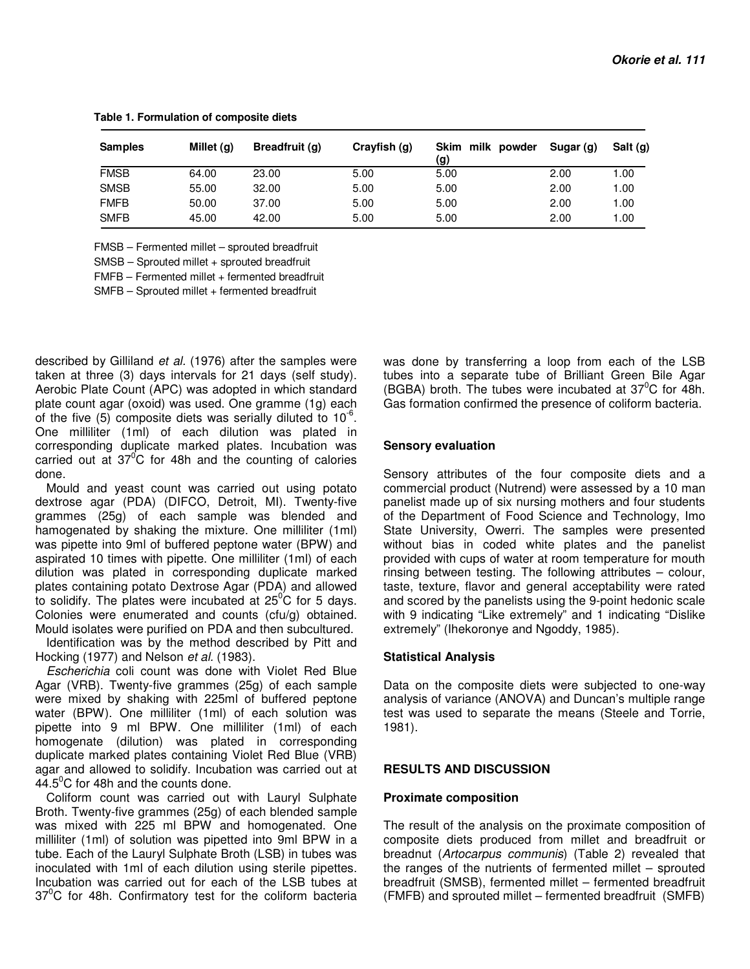| <b>Samples</b> | Millet $(q)$ | Breadfruit (g) | Crayfish (g) | Skim milk powder<br>(g) | Sugar (g) | Salt (g) |  |
|----------------|--------------|----------------|--------------|-------------------------|-----------|----------|--|
| <b>FMSB</b>    | 64.00        | 23.00          | 5.00         | 5.00                    | 2.00      | 1.00     |  |
| <b>SMSB</b>    | 55.00        | 32.00          | 5.00         | 5.00                    | 2.00      | 1.00     |  |
| <b>FMFB</b>    | 50.00        | 37.00          | 5.00         | 5.00                    | 2.00      | 1.00     |  |
| <b>SMFB</b>    | 45.00        | 42.00          | 5.00         | 5.00                    | 2.00      | 1.00     |  |

**Table 1. Formulation of composite diets** 

FMSB – Fermented millet – sprouted breadfruit

SMSB – Sprouted millet + sprouted breadfruit

FMFB – Fermented millet + fermented breadfruit

SMFB – Sprouted millet + fermented breadfruit

described by Gilliland et al. (1976) after the samples were taken at three (3) days intervals for 21 days (self study). Aerobic Plate Count (APC) was adopted in which standard plate count agar (oxoid) was used. One gramme (1g) each of the five  $(5)$  composite diets was serially diluted to 10 $^6$ . One milliliter (1ml) of each dilution was plated in corresponding duplicate marked plates. Incubation was carried out at  $37^{\circ}$ C for 48h and the counting of calories done.

Mould and yeast count was carried out using potato dextrose agar (PDA) (DIFCO, Detroit, MI). Twenty-five grammes (25g) of each sample was blended and hamogenated by shaking the mixture. One milliliter (1ml) was pipette into 9ml of buffered peptone water (BPW) and aspirated 10 times with pipette. One milliliter (1ml) of each dilution was plated in corresponding duplicate marked plates containing potato Dextrose Agar (PDA) and allowed to solidify. The plates were incubated at  $25^{\circ}$ C for 5 days. Colonies were enumerated and counts (cfu/g) obtained. Mould isolates were purified on PDA and then subcultured.

Identification was by the method described by Pitt and Hocking (1977) and Nelson et al. (1983).

Escherichia coli count was done with Violet Red Blue Agar (VRB). Twenty-five grammes (25g) of each sample were mixed by shaking with 225ml of buffered peptone water (BPW). One milliliter (1ml) of each solution was pipette into 9 ml BPW. One milliliter (1ml) of each homogenate (dilution) was plated in corresponding duplicate marked plates containing Violet Red Blue (VRB) agar and allowed to solidify. Incubation was carried out at  $44.5^{\circ}$ C for 48h and the counts done.

Coliform count was carried out with Lauryl Sulphate Broth. Twenty-five grammes (25g) of each blended sample was mixed with 225 ml BPW and homogenated. One milliliter (1ml) of solution was pipetted into 9ml BPW in a tube. Each of the Lauryl Sulphate Broth (LSB) in tubes was inoculated with 1ml of each dilution using sterile pipettes. Incubation was carried out for each of the LSB tubes at  $37^0$ C for 48h. Confirmatory test for the coliform bacteria

was done by transferring a loop from each of the LSB tubes into a separate tube of Brilliant Green Bile Agar (BGBA) broth. The tubes were incubated at  $37^{\circ}$ C for 48h. Gas formation confirmed the presence of coliform bacteria.

#### **Sensory evaluation**

Sensory attributes of the four composite diets and a commercial product (Nutrend) were assessed by a 10 man panelist made up of six nursing mothers and four students of the Department of Food Science and Technology, Imo State University, Owerri. The samples were presented without bias in coded white plates and the panelist provided with cups of water at room temperature for mouth rinsing between testing. The following attributes – colour, taste, texture, flavor and general acceptability were rated and scored by the panelists using the 9-point hedonic scale with 9 indicating "Like extremely" and 1 indicating "Dislike extremely" (Ihekoronye and Ngoddy, 1985).

#### **Statistical Analysis**

Data on the composite diets were subjected to one-way analysis of variance (ANOVA) and Duncan's multiple range test was used to separate the means (Steele and Torrie, 1981).

#### **RESULTS AND DISCUSSION**

#### **Proximate composition**

The result of the analysis on the proximate composition of composite diets produced from millet and breadfruit or breadnut (Artocarpus communis) (Table 2) revealed that the ranges of the nutrients of fermented millet – sprouted breadfruit (SMSB), fermented millet – fermented breadfruit (FMFB) and sprouted millet – fermented breadfruit (SMFB)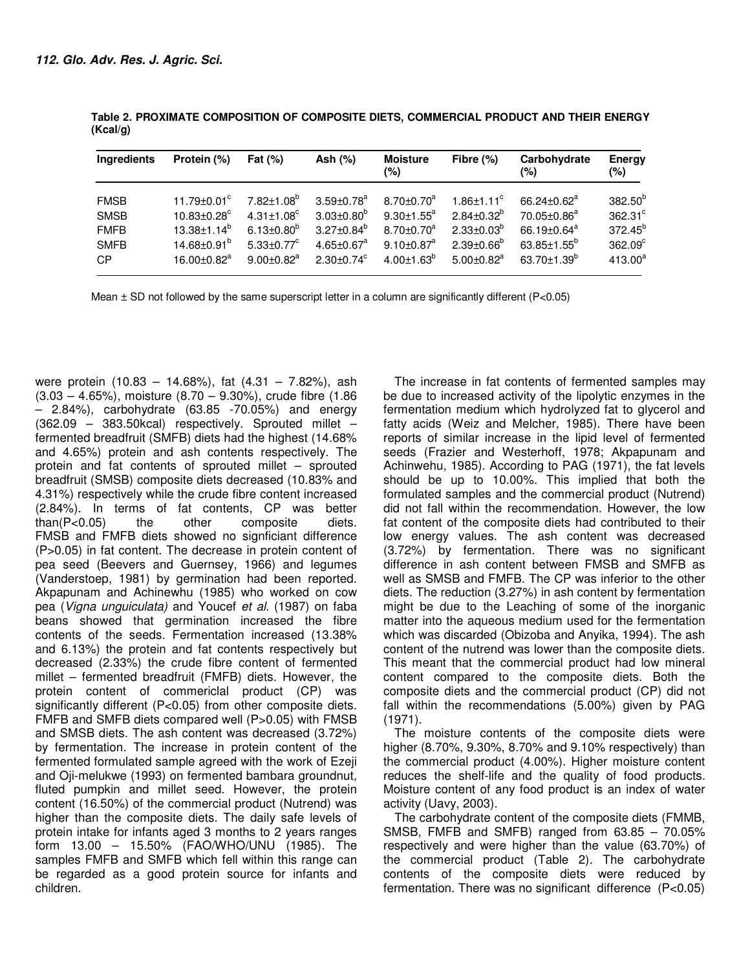| Ingredients | Protein (%)                   | Fat $(%)$                    | Ash $(\%)$                   | <b>Moisture</b><br>(%)       | Fibre $(\%)$                 | Carbohydrate<br>(%)           | Energy<br>(%)    |
|-------------|-------------------------------|------------------------------|------------------------------|------------------------------|------------------------------|-------------------------------|------------------|
| <b>FMSB</b> | $11.79 \pm 0.01$ <sup>c</sup> | $7.82 \pm 1.08$ <sup>b</sup> | $3.59 \pm 0.78$ <sup>a</sup> | $8.70 \pm 0.70$ <sup>a</sup> | $1.86 \pm 1.11$ <sup>c</sup> | 66.24 $\pm$ 0.62 <sup>a</sup> | $382.50^{b}$     |
| <b>SMSB</b> | $10.83 \pm 0.28$ <sup>c</sup> | $4.31 \pm 1.08^{\circ}$      | $3.03 \pm 0.80^b$            | $9.30 \pm 1.55^{\circ}$      | $2.84 \pm 0.32^b$            | $70.05 \pm 0.86^a$            | 362.31°          |
| <b>FMFB</b> | $13.38 \pm 1.14^b$            | $6.13 \pm 0.80^{\circ}$      | $3.27 \pm 0.84^b$            | $8.70 \pm 0.70$ <sup>a</sup> | $2.33 \pm 0.03^{\circ}$      | 66.19 $\pm$ 0.64 $\mathrm{a}$ | $372.45^{b}$     |
| <b>SMFB</b> | $14.68 \pm 0.91^b$            | $5.33 \pm 0.77$ <sup>c</sup> | $4.65 \pm 0.67$ <sup>a</sup> | $9.10 \pm 0.87$ <sup>a</sup> | $2.39 \pm 0.66^{\circ}$      | $63.85 \pm 1.55^{\circ}$      | $362.09^{\circ}$ |
| <b>CP</b>   | $16.00 \pm 0.82$ <sup>a</sup> | $9.00 + 0.82$ <sup>a</sup>   | $2.30+0.74^{\circ}$          | $4.00 \pm 1.63^{\circ}$      | $5.00 \pm 0.82$ <sup>a</sup> | 63.70 $\pm$ 1.39 $^{\circ}$   | $413.00^{a}$     |

**Table 2. PROXIMATE COMPOSITION OF COMPOSITE DIETS, COMMERCIAL PRODUCT AND THEIR ENERGY (Kcal/g)** 

Mean  $\pm$  SD not followed by the same superscript letter in a column are significantly different (P<0.05)

were protein (10.83 – 14.68%), fat (4.31 – 7.82%), ash (3.03 – 4.65%), moisture (8.70 – 9.30%), crude fibre (1.86  $-$  2.84%), carbohydrate (63.85  $-70.05%$ ) and energy (362.09 – 383.50kcal) respectively. Sprouted millet – fermented breadfruit (SMFB) diets had the highest (14.68% and 4.65%) protein and ash contents respectively. The protein and fat contents of sprouted millet – sprouted breadfruit (SMSB) composite diets decreased (10.83% and 4.31%) respectively while the crude fibre content increased (2.84%). In terms of fat contents, CP was better than(P<0.05) the other composite diets. FMSB and FMFB diets showed no signficiant difference (P>0.05) in fat content. The decrease in protein content of pea seed (Beevers and Guernsey, 1966) and legumes (Vanderstoep, 1981) by germination had been reported. Akpapunam and Achinewhu (1985) who worked on cow pea (Vigna unguiculata) and Youcef et al. (1987) on faba beans showed that germination increased the fibre contents of the seeds. Fermentation increased (13.38% and 6.13%) the protein and fat contents respectively but decreased (2.33%) the crude fibre content of fermented millet – fermented breadfruit (FMFB) diets. However, the protein content of commericlal product (CP) was significantly different (P<0.05) from other composite diets. FMFB and SMFB diets compared well (P>0.05) with FMSB and SMSB diets. The ash content was decreased (3.72%) by fermentation. The increase in protein content of the fermented formulated sample agreed with the work of Ezeji and Oii-melukwe (1993) on fermented bambara groundnut. fluted pumpkin and millet seed. However, the protein content (16.50%) of the commercial product (Nutrend) was higher than the composite diets. The daily safe levels of protein intake for infants aged 3 months to 2 years ranges form 13.00 – 15.50% (FAO/WHO/UNU (1985). The samples FMFB and SMFB which fell within this range can be regarded as a good protein source for infants and children.

The increase in fat contents of fermented samples may be due to increased activity of the lipolytic enzymes in the fermentation medium which hydrolyzed fat to glycerol and fatty acids (Weiz and Melcher, 1985). There have been reports of similar increase in the lipid level of fermented seeds (Frazier and Westerhoff, 1978; Akpapunam and Achinwehu, 1985). According to PAG (1971), the fat levels should be up to 10.00%. This implied that both the formulated samples and the commercial product (Nutrend) did not fall within the recommendation. However, the low fat content of the composite diets had contributed to their low energy values. The ash content was decreased (3.72%) by fermentation. There was no significant difference in ash content between FMSB and SMFB as well as SMSB and FMFB. The CP was inferior to the other diets. The reduction (3.27%) in ash content by fermentation might be due to the Leaching of some of the inorganic matter into the aqueous medium used for the fermentation which was discarded (Obizoba and Anyika, 1994). The ash content of the nutrend was lower than the composite diets. This meant that the commercial product had low mineral content compared to the composite diets. Both the composite diets and the commercial product (CP) did not fall within the recommendations (5.00%) given by PAG (1971).

The moisture contents of the composite diets were higher (8.70%, 9.30%, 8.70% and 9.10% respectively) than the commercial product (4.00%). Higher moisture content reduces the shelf-life and the quality of food products. Moisture content of any food product is an index of water activity (Uavy, 2003).

The carbohydrate content of the composite diets (FMMB, SMSB, FMFB and SMFB) ranged from 63.85 – 70.05% respectively and were higher than the value (63.70%) of the commercial product (Table 2). The carbohydrate contents of the composite diets were reduced by fermentation. There was no significant difference (P<0.05)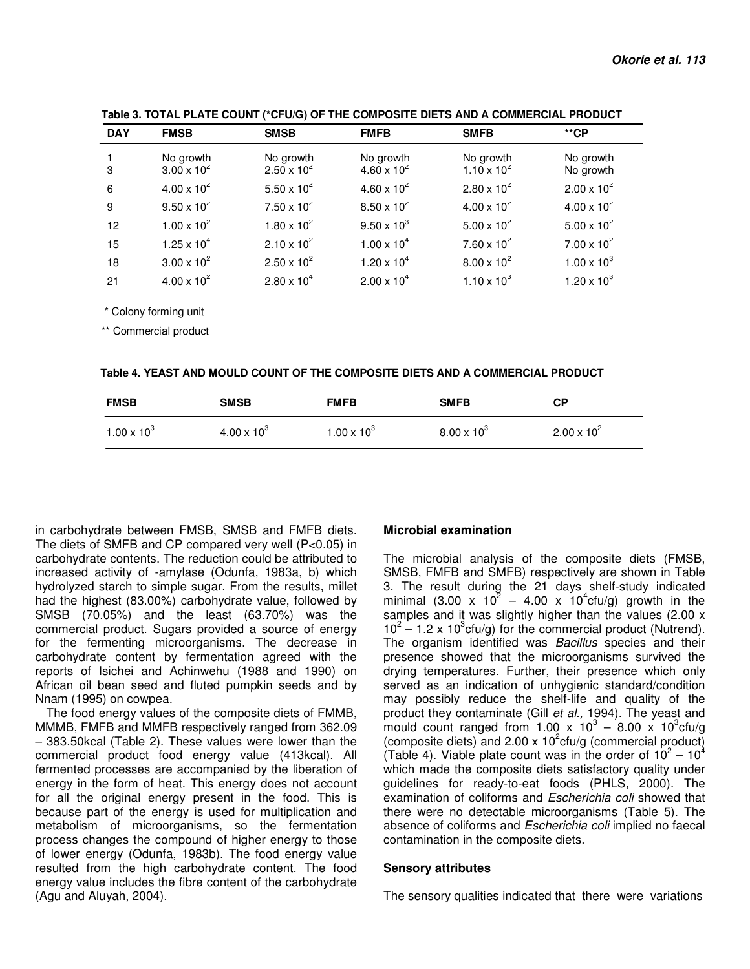| <b>DAY</b> | <b>FMSB</b>                       | <b>SMSB</b>                       | <b>FMFB</b>                       | <b>SMFB</b>                       | $*$ cP                 |
|------------|-----------------------------------|-----------------------------------|-----------------------------------|-----------------------------------|------------------------|
| 3          | No growth<br>$3.00 \times 10^{2}$ | No growth<br>$2.50 \times 10^{2}$ | No growth<br>$4.60 \times 10^{2}$ | No growth<br>$1.10 \times 10^{2}$ | No growth<br>No growth |
| 6          | $4.00 \times 10^{2}$              | $5.50 \times 10^{2}$              | $4.60 \times 10^{2}$              | $2.80 \times 10^{2}$              | $2.00 \times 10^{2}$   |
| 9          | $9.50 \times 10^{2}$              | $7.50 \times 10^{2}$              | $8.50 \times 10^{2}$              | $4.00 \times 10^{2}$              | $4.00 \times 10^{2}$   |
| 12         | $1.00 \times 10^{2}$              | $1.80 \times 10^{2}$              | $9.50 \times 10^{3}$              | $5.00 \times 10^{2}$              | $5.00 \times 10^{2}$   |
| 15         | $1.25 \times 10^{4}$              | $2.10 \times 10^{2}$              | $1.00 \times 10^{4}$              | $7.60 \times 10^{2}$              | $7.00 \times 10^{2}$   |
| 18         | $3.00 \times 10^{2}$              | $2.50 \times 10^{2}$              | $1.20 \times 10^{4}$              | $8.00 \times 10^{2}$              | $1.00 \times 10^{3}$   |
| 21         | $4.00 \times 10^{2}$              | $2.80 \times 10^{4}$              | $2.00 \times 10^{4}$              | $1.10 \times 10^{3}$              | $1.20 \times 10^{3}$   |

**Table 3. TOTAL PLATE COUNT (\*CFU/G) OF THE COMPOSITE DIETS AND A COMMERCIAL PRODUCT**

\* Colony forming unit

\*\* Commercial product

| Table 4. YEAST AND MOULD COUNT OF THE COMPOSITE DIETS AND A COMMERCIAL PRODUCT |  |  |
|--------------------------------------------------------------------------------|--|--|
|--------------------------------------------------------------------------------|--|--|

| <b>FMSB</b>          | <b>SMSB</b>          | <b>FMFB</b>          | <b>SMFB</b>          | <b>CP</b>            |
|----------------------|----------------------|----------------------|----------------------|----------------------|
| $1.00 \times 10^{3}$ | $4.00 \times 10^{3}$ | $1.00 \times 10^{3}$ | $8.00 \times 10^{3}$ | $2.00 \times 10^{2}$ |

in carbohydrate between FMSB, SMSB and FMFB diets. The diets of SMFB and CP compared very well (P<0.05) in carbohydrate contents. The reduction could be attributed to increased activity of -amylase (Odunfa, 1983a, b) which hydrolyzed starch to simple sugar. From the results, millet had the highest (83.00%) carbohydrate value, followed by SMSB (70.05%) and the least (63.70%) was the commercial product. Sugars provided a source of energy for the fermenting microorganisms. The decrease in carbohydrate content by fermentation agreed with the reports of Isichei and Achinwehu (1988 and 1990) on African oil bean seed and fluted pumpkin seeds and by Nnam (1995) on cowpea.

The food energy values of the composite diets of FMMB, MMMB, FMFB and MMFB respectively ranged from 362.09 – 383.50kcal (Table 2). These values were lower than the commercial product food energy value (413kcal). All fermented processes are accompanied by the liberation of energy in the form of heat. This energy does not account for all the original energy present in the food. This is because part of the energy is used for multiplication and metabolism of microorganisms, so the fermentation process changes the compound of higher energy to those of lower energy (Odunfa, 1983b). The food energy value resulted from the high carbohydrate content. The food energy value includes the fibre content of the carbohydrate (Agu and Aluyah, 2004).

#### **Microbial examination**

The microbial analysis of the composite diets (FMSB, SMSB, FMFB and SMFB) respectively are shown in Table 3. The result during the 21 days shelf-study indicated minimal (3.00 x  $10^2 - 4.00 \times 10^4$ cfu/g) growth in the samples and it was slightly higher than the values (2.00 x  $10^2 - 1.2 \times 10^3$ cfu/g) for the commercial product (Nutrend). The organism identified was *Bacillus* species and their presence showed that the microorganisms survived the drying temperatures. Further, their presence which only served as an indication of unhygienic standard/condition may possibly reduce the shelf-life and quality of the product they contaminate (Gill et al., 1994). The yeast and mould count ranged from  $1.00 \times 10^3 - 8.00 \times 10^3$ cfu/g (composite diets) and 2.00 x  $10^2$ cfu/g (commercial product) (Table 4). Viable plate count was in the order of  $10^2 - 10^4$ which made the composite diets satisfactory quality under guidelines for ready-to-eat foods (PHLS, 2000). The examination of coliforms and Escherichia coli showed that there were no detectable microorganisms (Table 5). The absence of coliforms and Escherichia coli implied no faecal contamination in the composite diets.

#### **Sensory attributes**

The sensory qualities indicated that there were variations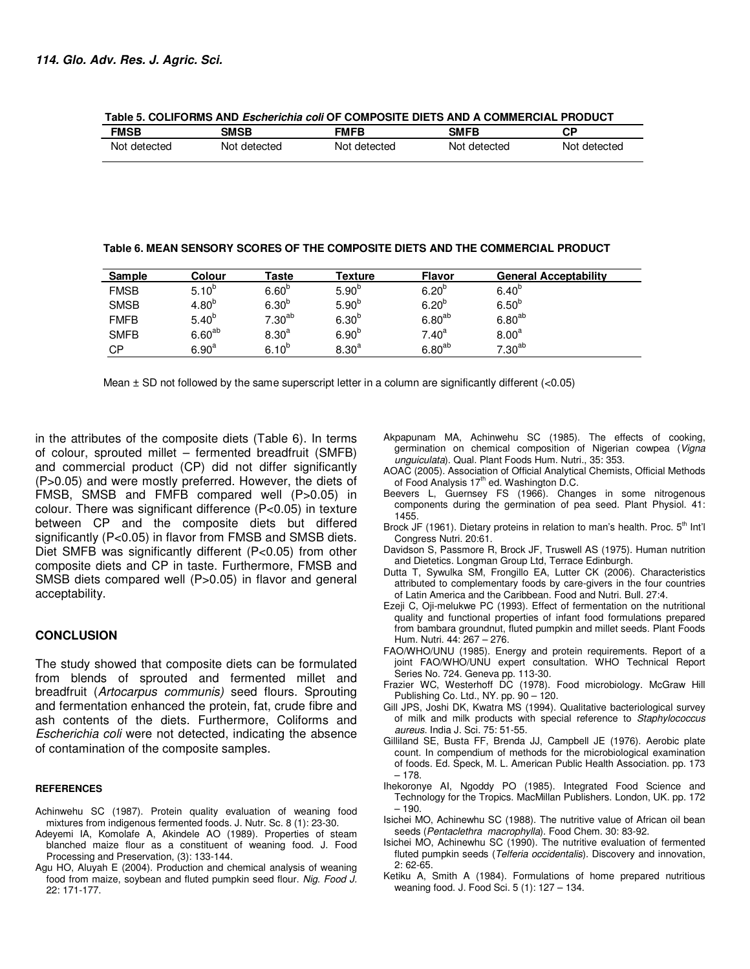| <b>FMSB</b>  | <b>SMSB</b>  | FMFB         | <b>SMFB</b>  | СP           |
|--------------|--------------|--------------|--------------|--------------|
| Not detected | Not detected | Not detected | Not detected | Not detected |

**Table 5. COLIFORMS AND Escherichia coli OF COMPOSITE DIETS AND A COMMERCIAL PRODUCT** 

**Table 6. MEAN SENSORY SCORES OF THE COMPOSITE DIETS AND THE COMMERCIAL PRODUCT** 

| Sample      | Colour            | Taste             | Texture           | <b>Flavor</b>     | <b>General Acceptability</b> |
|-------------|-------------------|-------------------|-------------------|-------------------|------------------------------|
| <b>FMSB</b> | $5.10^{b}$        | 6.60 <sup>b</sup> | 5.90 <sup>b</sup> | $6.20^{b}$        | $6.40^{b}$                   |
| <b>SMSB</b> | 4.80 <sup>b</sup> | 6.30 <sup>b</sup> | 5.90 <sup>b</sup> | $6.20^{b}$        | 6.50 <sup>b</sup>            |
| <b>FMFB</b> | 5.40 <sup>b</sup> | $7.30^{ab}$       | $6.30^{b}$        | $6.80^{ab}$       | $6.80^{ab}$                  |
| <b>SMFB</b> | $6.60^{ab}$       | 8.30 <sup>a</sup> | 6.90 <sup>b</sup> | 7.40 <sup>a</sup> | 8.00 <sup>a</sup>            |
| <b>CP</b>   | 6.90 <sup>a</sup> | $6.10^{b}$        | 8.30 <sup>a</sup> | $6.80^{ab}$       | $7.30^{\sf ab}$              |

Mean  $\pm$  SD not followed by the same superscript letter in a column are significantly different ( $<$ 0.05)

in the attributes of the composite diets (Table 6). In terms of colour, sprouted millet – fermented breadfruit (SMFB) and commercial product (CP) did not differ significantly (P>0.05) and were mostly preferred. However, the diets of FMSB, SMSB and FMFB compared well (P>0.05) in colour. There was significant difference (P<0.05) in texture between CP and the composite diets but differed significantly (P<0.05) in flavor from FMSB and SMSB diets. Diet SMFB was significantly different (P<0.05) from other composite diets and CP in taste. Furthermore, FMSB and SMSB diets compared well (P>0.05) in flavor and general acceptability.

## **CONCLUSION**

The study showed that composite diets can be formulated from blends of sprouted and fermented millet and breadfruit (Artocarpus communis) seed flours. Sprouting and fermentation enhanced the protein, fat, crude fibre and ash contents of the diets. Furthermore, Coliforms and Escherichia coli were not detected, indicating the absence of contamination of the composite samples.

#### **REFERENCES**

- Achinwehu SC (1987). Protein quality evaluation of weaning food mixtures from indigenous fermented foods. J. Nutr. Sc. 8 (1): 23-30.
- Adeyemi IA, Komolafe A, Akindele AO (1989). Properties of steam blanched maize flour as a constituent of weaning food. J. Food Processing and Preservation, (3): 133-144.
- Agu HO, Aluyah E (2004). Production and chemical analysis of weaning food from maize, soybean and fluted pumpkin seed flour. Nig. Food J. 22: 171-177.
- Akpapunam MA, Achinwehu SC (1985). The effects of cooking, germination on chemical composition of Nigerian cowpea (Vigna unguiculata). Qual. Plant Foods Hum. Nutri., 35: 353.
- AOAC (2005). Association of Official Analytical Chemists, Official Methods of Food Analysis 17<sup>th</sup> ed. Washington D.C.
- Beevers L, Guernsey FS (1966). Changes in some nitrogenous components during the germination of pea seed. Plant Physiol. 41: 1455.
- Brock JF (1961). Dietary proteins in relation to man's health. Proc. 5<sup>th</sup> Int'l Congress Nutri. 20:61.
- Davidson S, Passmore R, Brock JF, Truswell AS (1975). Human nutrition and Dietetics. Longman Group Ltd, Terrace Edinburgh.
- Dutta T, Sywulka SM, Frongillo EA, Lutter CK (2006). Characteristics attributed to complementary foods by care-givers in the four countries of Latin America and the Caribbean. Food and Nutri. Bull. 27:4.
- Ezeji C, Oji-melukwe PC (1993). Effect of fermentation on the nutritional quality and functional properties of infant food formulations prepared from bambara groundnut, fluted pumpkin and millet seeds. Plant Foods Hum. Nutri. 44: 267 – 276.
- FAO/WHO/UNU (1985). Energy and protein requirements. Report of a joint FAO/WHO/UNU expert consultation. WHO Technical Report Series No. 724. Geneva pp. 113-30.
- Frazier WC, Westerhoff DC (1978). Food microbiology. McGraw Hill Publishing Co. Ltd., NY. pp. 90 – 120.
- Gill JPS, Joshi DK, Kwatra MS (1994). Qualitative bacteriological survey of milk and milk products with special reference to Staphylococcus aureus. India J. Sci. 75: 51-55.
- Gilliland SE, Busta FF, Brenda JJ, Campbell JE (1976). Aerobic plate count. In compendium of methods for the microbiological examination of foods. Ed. Speck, M. L. American Public Health Association. pp. 173 – 178.
- Ihekoronye AI, Ngoddy PO (1985). Integrated Food Science and Technology for the Tropics. MacMillan Publishers. London, UK. pp. 172  $-190.$
- Isichei MO, Achinewhu SC (1988). The nutritive value of African oil bean seeds (Pentaclethra macrophylla). Food Chem. 30: 83-92.
- Isichei MO, Achinewhu SC (1990). The nutritive evaluation of fermented fluted pumpkin seeds (Telferia occidentalis). Discovery and innovation, 2: 62-65.
- Ketiku A, Smith A (1984). Formulations of home prepared nutritious weaning food. J. Food Sci. 5 (1): 127 – 134.